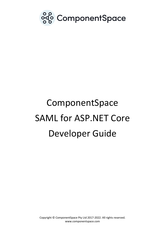

# ComponentSpace SAML for ASP.NET Core Developer Guide

Copyright © ComponentSpace Pty Ltd 2017-2022. All rights reserved. www.componentspace.com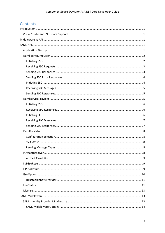# Contents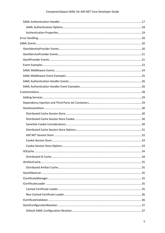# ComponentSpace SAML for ASP.NET Core Developer Guide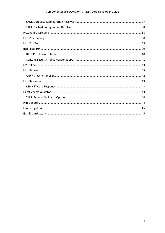# ComponentSpace SAML for ASP.NET Core Developer Guide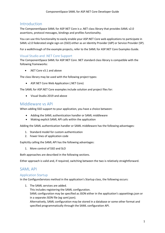# <span id="page-4-0"></span>Introduction

The ComponentSpace SAML for ASP.NET Core is a .NET class library that provides SAML v2.0 assertions, protocol messages, bindings and profiles functionality.

You can use this functionality to easily enable your ASP.NET Core web applications to participate in SAML v2.0 federated single sign-on (SSO) either as an Identity Provider (IdP) or Service Provider (SP).

For a walkthrough of the example projects, refer to the SAML for ASP.NET Core Examples Guide.

# <span id="page-4-1"></span>Visual Studio and .NET Core Support

The ComponentSpace SAML for ASP.NET Core .NET standard class library is compatible with the following frameworks:

• .NET Core v3.1 and above

The class library may be used with the following project types:

• ASP.NET Core Web Application (.NET Core)

The SAML for ASP.NET Core examples include solution and project files for:

• Visual Studio 2019 and above

# <span id="page-4-2"></span>Middleware vs API

When adding SSO support to your application, you have a choice between:

- Adding the SAML authentication handler or SAML middleware
- Making explicit SAML API calls within the application

Adding the SAML authentication handler or SAML middleware has the following advantages:

- 1. Standard model for custom authentication
- 2. Fewer lines of application code

Explicitly calling the SAML API has the following advantages:

1. More control of SSO and SLO

Both approaches are described in the following sections.

Either approach is valid and, if required, switching between the two is relatively straightforward.

# <span id="page-4-3"></span>SAML API

# <span id="page-4-4"></span>Application Startup

In the ConfigureServices method in the application's Startup class, the following occurs:

1. The SAML services are added.

This includes registering the SAML configuration.

SAML configuration may be specified as JSON either in the application's appsettings.json or in a separate JSON file (eg saml.json).

Alternatively, SAML configuration may be stored in a database or some other format and specified programmatically through the SAML configuration API.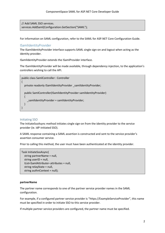// Add SAML SSO services. services.AddSaml(Configuration.GetSection("SAML");

For information on SAML configuration, refer to the SAML for ASP.NET Core Configuration Guide.

# <span id="page-5-0"></span>ISamlIdentityProvider

The ISamlIdentityProvider interface supports SAML single sign-on and logout when acting as the identity provider.

ISamlIdentityProvider extends the ISamlProvider interface.

The ISamlIdentityProvider will be made available, through dependency injection, to the application's controllers wishing to call the API.

```
public class SamlController : Controller
{
   private readonly ISamlIdentityProvider _samlIdentityProvider;
   public SamlController(ISamlIdentityProvider samlIdentityProvider)
  \{ _samlIdentityProvider = samlIdentityProvider;
   }
}
```
# <span id="page-5-1"></span>Initiating SSO

The InitiateSsoAsync method initiates single sign-on from the identity provider to the service provider (ie. IdP-initiated SSO).

A SAML response containing a SAML assertion is constructed and sent to the service provider's assertion consumer service.

Prior to calling this method, the user must have been authenticated at the identity provider.

```
Task InitiateSsoAsync(
   string partnerName = null, 
   string userID = null, 
   IList<SamlAttribute> attributes = null, 
   string relayState = null,
   string authnContext = null);
```
#### **partnerName**

The partner name corresponds to one of the partner service provider names in the SAML configuration.

For example, if a configured partner service provider is "https://ExampleServiceProvider", this name must be specified in order to initiate SSO to this service provider.

If multiple partner service providers are configured, the partner name must be specified.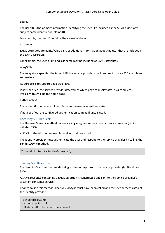#### **userID**

The user ID is the primary information identifying the user. It's included as the SAML assertion's subject name identifier (ie. NameID).

For example, the user ID could be their email address.

#### **attributes**

SAML attributes are name/value pairs of additional information about the user that are included in the SAML assertion.

For example, the user's first and last name may be included as SAML attributes.

#### **relayState**

The relay state specifies the target URL the service provider should redirect to once SSO completes successfully.

Its purpose is to support deep web links.

If not specified, the service provider determines which page to display after SSO completes. Typically, this will be the home page.

#### **authnContext**

The authentication context identifies how the user was authenticated.

If not specified, the configured authentication context, if any, is used.

# <span id="page-6-0"></span>Receiving SSO Requests

The ReceiveSSoAsync method receives a single sign-on request from a service provider (ie. SPinitiated SSO).

A SAML authentication request is received and processed.

The identity provider must authenticate the user and respond to the service provider by calling the SendSsoAsync method.

Task<IIdpSsoResult> ReceiveSsoAsync();

# <span id="page-6-1"></span>Sending SSO Responses

The SendSsoAsync method sends a single sign-on response to the service provider (ie. SP-initiated SSO).

A SAML response containing a SAML assertion is constructed and sent to the service provider's assertion consumer service.

Prior to calling this method, ReceiveSSoAsync must have been called and the user authenticated at the identity provider.

```
Task SendSsoAsync(
   string userID = null, 
   IList<SamlAttribute> attributes = null,
```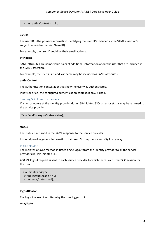string authnContext = null);

#### **userID**

The user ID is the primary information identifying the user. It's included as the SAML assertion's subject name identifier (ie. NameID).

For example, the user ID could be their email address.

#### **attributes**

SAML attributes are name/value pairs of additional information about the user that are included in the SAML assertion.

For example, the user's first and last name may be included as SAML attributes.

#### **authnContext**

The authentication context identifies how the user was authenticated.

If not specified, the configured authentication context, if any, is used.

#### <span id="page-7-0"></span>Sending SSO Error Responses

If an error occurs at the identity provider during SP-initiated SSO, an error status may be returned to the service provider.

Task SendSsoAsync(Status status);

#### **status**

The status is returned in the SAML response to the service provider.

It should provide generic information that doesn't compromise security in any way.

#### <span id="page-7-1"></span>Initiating SLO

The InitiateSloAsync method initiates single logout from the identity provider to all the service providers (ie. IdP-initiated SLO).

A SAML logout request is sent to each service provider to which there is a current SSO session for the user.

```
Task InitiateSloAsync(
   string logoutReason = null, 
   string relayState = null);
```
#### **logoutReason**

The logout reason identifies why the user logged out.

#### **relayState**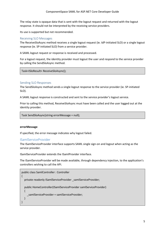The relay state is opaque data that is sent with the logout request and returned with the logout response. It should not be interpreted by the receiving service providers.

Its use is supported but not recommended.

# <span id="page-8-0"></span>Receiving SLO Messages

The ReceiveSloAsync method receives a single logout request (ie. IdP-initiated SLO) or a single logout response (ie. SP-initiated SLO) from a service provider.

A SAML logout request or response is received and processed.

For a logout request, the identity provider must logout the user and respond to the service provider by calling the SendSloAsync method.

Task<ISloResult> ReceiveSloAsync();

# <span id="page-8-1"></span>Sending SLO Responses

The SendSloAsync method sends a single logout response to the service provider (ie. SP-initiated SLO).

A SAML logout response is constructed and sent to the service provider's logout service.

Prior to calling this method, ReceiveSloAsync must have been called and the user logged out at the identity provider.

Task SendSloAsync(string errorMessage = null);

#### **errorMessage**

If specified, the error message indicates why logout failed.

# <span id="page-8-2"></span>ISamlServiceProvider

The ISamlServiceProvider interface supports SAML single sign-on and logout when acting as the service provider.

ISamlServiceProvider extends the ISamlProvider interface.

The ISamlServiceProvider will be made available, through dependency injection, to the application's controllers wishing to call the API.

```
public class SamlController : Controller
{
  private readonly ISamlServiceProvider _samlServiceProvider;
   public HomeController(ISamlServiceProvider samlServiceProvider)
\{samlServiceProvider = samlServiceProvider;
   }
}
```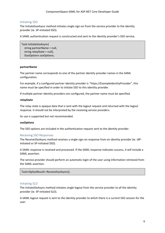## <span id="page-9-0"></span>Initiating SSO

The InitiateSsoAsync method initiates single sign-on from the service provider to the identity provider (ie. SP-initiated SSO).

A SAML authentication request is constructed and sent to the identity provider's SSO service.

Task InitiateSsoAsync( string partnerName = null, string relayState = null), ISsoOptions ssoOptions;

#### **partnerName**

The partner name corresponds to one of the partner identity provider names in the SAML configuration.

For example, if a configured partner identity provider is "https://ExampleIdentityProvider", this name must be specified in order to initiate SSO to this identity provider.

If multiple partner identity providers are configured, the partner name must be specified.

#### **relayState**

The relay state is opaque data that is sent with the logout request and returned with the logout response. It should not be interpreted by the receiving service providers.

Its use is supported but not recommended.

#### **ssoOptions**

The SSO options are included in the authentication request sent to the identity provider.

#### <span id="page-9-1"></span>Receiving SSO Responses

The ReceiveSSoAsync method receives a single sign-on response from an identity provider (ie. IdPinitiated or SP-initiated SSO).

A SAML response is received and processed. If the SAML response indicates success, it will include a SAML assertion.

The service provider should perform an automatic login of the user using information retrieved from the SAML assertion.

Task<ISpSsoResult> ReceiveSsoAsync();

#### <span id="page-9-2"></span>Initiating SLO

The InitiateSloAsync method initiates single logout from the service provider to all the identity provider (ie. SP-initiated SLO).

A SAML logout request is sent to the identity provider to which there is a current SSO session for the user.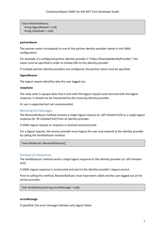Task InitiateSloAsync( string logoutReason = null, string relayState = null);

#### **partnerName**

The partner name corresponds to one of the partner identity provider names in the SAML configuration.

For example, if a configured partner identity provider is "https://ExampleIdentityProvider", this name must be specified in order to initiate SSO to this identity provider.

If multiple partner identity providers are configured, the partner name must be specified.

#### **logoutReason**

The logout reason identifies why the user logged out.

#### **relayState**

The relay state is opaque data that is sent with the logout request and returned with the logout response. It should not be interpreted by the receiving identity provider.

Its use is supported but not recommended.

#### <span id="page-10-0"></span>Receiving SLO Messages

The ReceiveSloAsync method receives a single logout request (ie. IdP-initiated SLO) or a single logout response (ie. SP-initiated SLO) from an identity provider.

A SAML logout request or response is received and processed.

For a logout request, the service provider must logout the user and respond to the identity provider by calling the SendSloAsync method.

Task<ISloResult> ReceiveSloAsync();

#### <span id="page-10-1"></span>Sending SLO Responses

The SendSloAsync method sends a single logout response to the identity provider (ie. IdP-initiated SLO).

A SAML logout response is constructed and sent to the identity provider's logout service.

Prior to calling this method, ReceiveSloAsync must have been called and the user logged out at the service provider.

Task SendSloAsync(string errorMessage = null);

#### **errorMessage**

If specified, the error message indicates why logout failed.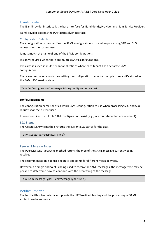# <span id="page-11-0"></span>**ISamlProvider**

The ISamlProvider interface is the base interface for ISamlIdentityProvider and ISamlServiceProvider.

ISamlProvider extends the IArtifactResolver interface.

# <span id="page-11-1"></span>Configuration Selection

The configuration name specifies the SAML configuration to use when processing SSO and SLO requests for the current user.

It must match the name of one of the SAML configurations.

It's only required when there are multiple SAML configurations.

Typically, it's used in multi-tenant applications where each tenant has a separate SAML configuration.

There are no concurrency issues setting the configuration name for multiple users as it's stored in the SAML SSO session state.

Task SetConfigurationNameAsync(string configurationName);

#### **configurationName**

The configuration name specifies which SAML configuration to use when processing SSO and SLO requests for the current user.

It's only required if multiple SAML configurations exist (e.g., in a multi-tenanted environment).

#### <span id="page-11-2"></span>SSO Status

The GetStatusAsync method returns the current SSO status for the user.

Task<ISsoStatus> GetStatusAsync();

# <span id="page-11-3"></span>Peeking Message Types

The PeekMessageTypeAsync method returns the type of the SAML message currently being received.

The recommendation is to use separate endpoints for different message types.

However, if a single endpoint is being used to receive all SAML messages, the message type may be peeked to determine how to continue with the processing of the message.

Task<SamlMessageType> PeekMessageTypeAsync();

# <span id="page-11-4"></span>**IArtifactResolver**

The IArtifactResolver interface supports the HTTP-Artifact binding and the processing of SAML artifact resolve requests.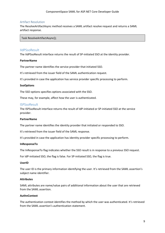# <span id="page-12-0"></span>Artifact Resolution

The ResolveArtifactAsync method receives a SAML artifact resolve request and returns a SAML artifact response.

Task ResolveArtifactAsync();

## <span id="page-12-1"></span>IIdPSsoResult

The IIdPSsoResult interface returns the result of SP-initiated SSO at the identity provider.

#### **PartnerName**

The partner name identifies the service provider that initiated SSO.

It's retrieved from the issuer field of the SAML authentication request.

It's provided in case the application has service provider specific processing to perform.

#### **SsoOptions**

The SSO options specifies options associated with the SSO.

These may, for example, affect how the user is authenticated.

#### <span id="page-12-2"></span>**ISPSsoResult**

The ISPSsoResult interface returns the result of IdP-initiated or SP-initiated SSO at the service provider.

#### **PartnerName**

The partner name identifies the identity provider that initiated or responded to SSO.

It's retrieved from the issuer field of the SAML response.

It's provided in case the application has identity provider specific processing to perform.

#### **InResponseTo**

The InResponseTo flag indicates whether the SSO result is in response to a previous SSO request.

For IdP-initiated SSO, the flag is false. For SP-initiated SSO, the flag is true.

#### **UserID**

The user ID is the primary information identifying the user. It's retrieved from the SAML assertion's subject name identifier.

#### **Attributes**

SAML attributes are name/value pairs of additional information about the user that are retrieved from the SAML assertion.

#### **AuthnContext**

The authentication context identifies the method by which the user was authenticated. It's retrieved from the SAML assertion's authentication statement.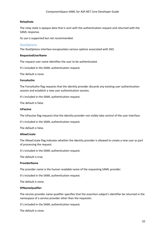## **RelayState**

The relay state is opaque data that is sent with the authentication request and returned with the SAML response.

Its use is supported but not recommended.

#### <span id="page-13-0"></span>**ISsoOptions**

The ISsoOptions interface encapsulates various options associated with SSO.

#### **RequestedUserName**

The request user name identifies the user to be authenticated.

It's included in the SAML authentication request.

The default is none.

#### **ForceAuthn**

The ForceAuthn flag requests that the identity provider discards any existing user authentication session and establish a new user authentication session.

It's included in the SAML authentication request.

The default is false.

#### **IsPassive**

The IsPassive flag requests that the identity provider not visibly take control of the user interface.

It's included in the SAML authentication request.

The default is false.

#### **AllowCreate**

The AllowCreate flag indicates whether the identity provider is allowed to create a new user as part of processing the request.

It's included in the SAML authentication request.

The default is true.

#### **ProviderName**

The provider name is the human readable name of the requesting SAML provider.

It's included in the SAML authentication request.

The default is none.

#### **SPNameQualifier**

The service provider name qualifier specifies that the assertion subject's identifier be returned in the namespace of a service provider other than the requester.

It's included in the SAML authentication request.

The default is none.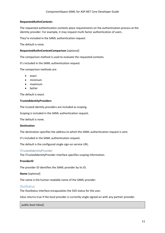#### **RequestedAuthnContexts**

The requested authentication contexts place requirements on the authentication process at the identity provider. For example, it may request multi-factor authentication of users.

They're included in the SAML authentication request.

The default is none.

#### **RequestedAuthnContextComparison** [optional]

The comparison method is used to evaluate the requested contexts.

It's included in the SAML authentication request.

The comparison methods are:

- exact
- minimum
- maximum
- better

The default is exact.

#### **TrustedIdentityProviders**

The trusted identity providers are included as scoping.

Scoping is included in the SAML authentication request.

The default is none.

#### **Destination**

The destination specifies the address to which the SAML authentication request is sent.

It's included in the SAML authentication request.

The default is the configured single sign-on service URL.

#### <span id="page-14-0"></span>ITrustedIdentityProvider

The ITrustedIdentityProvider interface specifies scoping information.

#### **ProviderID**

The provider ID identifies the SAML provider by its ID.

#### **Name** [optional]

The name is the human readable name of the SAML provider.

#### <span id="page-14-1"></span>ISsoStatus

The ISsoStatus interface encapsulates the SSO status for the user.

IsSso returns true if the local provider is currently single signed-on with any partner provider.

public bool IsSso()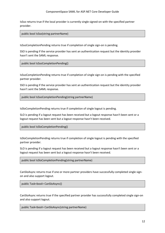#### ComponentSpace SAML for ASP.NET Core Developer Guide

IsSso returns true if the local provider is currently single signed-on with the specified partner provider.

public bool IsSso(string partnerName)

IsSsoCompletionPending returns true if completion of single sign-on is pending.

SSO is pending if the service provider has sent an authentication request but the identity provider hasn't sent the SAML response.

public bool IsSsoCompletionPending()

IsSsoCompletionPending returns true if completion of single sign-on is pending with the specified partner provider.

SSO is pending if the service provider has sent an authentication request but the identity provider hasn't sent the SAML response.

public bool IsSsoCompletionPending(string partnerName)

IsSloCompletionPending returns true if completion of single logout is pending.

SLO is pending if a logout request has been received but a logout response hasn't been sent or a logout request has been sent but a logout response hasn't been received.

public bool IsSloCompletionPending()

IsSloCompletionPending returns true if completion of single logout is pending with the specified partner provider.

SLO is pending if a logout request has been received but a logout response hasn't been sent or a logout request has been sent but a logout response hasn't been received.

public bool IsSloCompletionPending(string partnerName)

CanSloAsync returns true if one or more partner providers have successfully completed single signon and also support logout.

public Task<bool> CanSloAsync()

CanSloAsync returns true if the specified partner provider has successfully completed single sign-on and also support logout.

public Task<bool> CanSloAsync(string partnerName)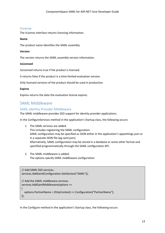# <span id="page-16-0"></span>ILicense

The ILicense interface returns licensing information.

#### **Name**

The product name identifies the SAML assembly.

#### **Version**

The version returns the SAML assembly version information.

#### **IsLicensed**

IsLicensed returns true if the product is licensed.

It returns false if the product is a time-limited evaluation version.

Only licensed versions of the product should be used in production.

#### **Expires**

Expires returns the date the evaluation license expires.

# <span id="page-16-1"></span>SAML Middleware

# <span id="page-16-2"></span>SAML Identity Provider Middleware

The SAML middleware provides SSO support for identity provider applications.

In the ConfigureServices method in the application's Startup class, the following occurs:

- 1. The SAML services are added. This includes registering the SAML configuration. SAML configuration may be specified as JSON either in the application's appsettings.json or in a separate JSON file (eg saml.json). Alternatively, SAML configuration may be stored in a database or some other format and specified programmatically through the SAML configuration API.
- 2. The SAML middleware is added. The options specify SAML middleware configuration.

```
// Add SAML SSO services.
services.AddSaml(Configuration.GetSection("SAML"));
// Add the SAML middleware services.
services.AddSamlMiddleware(options =>
{
   options.PartnerName = (httpContext) => Configuration["PartnerName"];
});
```
In the Configure method in the application's Startup class, the following occurs: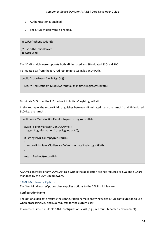- 1. Authentication is enabled.
- 2. The SAML middleware is enabled.

app.UseAuthentication();

// Use SAML middleware. app.UseSaml();

The SAML middleware supports both IdP-initiated and SP-initiated SSO and SLO.

To initiate SSO from the IdP, redirect to InitiateSingleSignOnPath.

```
public ActionResult SingleSignOn()
{
   return Redirect(SamlMiddlewareDefaults.InitiateSingleSignOnPath);
}
```
To initiate SLO from the IdP, redirect to InitiateSingleLogoutPath.

In this example, the returnUrl distinguishes between IdP-initiated (i.e. no returnUrl) and SP-initiated SLO (i.e. a returnUrl).

```
public async Task<IActionResult> Logout(string returnUrl)
{
   await _signInManager.SignOutAsync();
   _logger.LogInformation("User logged out.");
   if (string.IsNullOrEmpty(returnUrl))
   {
     returnUrl = SamlMiddlewareDefaults.InitiateSingleLogoutPath;
   }
   return Redirect(returnUrl);
}
```
A SAML controller or any SAML API calls within the application are not required as SSO and SLO are managed by the SAML middleware.

# <span id="page-17-0"></span>SAML Middleware Options

The SamlMiddlewareOptions class supplies options to the SAML middleware.

#### **ConfigurationName**

The optional delegate returns the configuration name identifying which SAML configuration to use when processing SSO and SLO requests for the current user.

It's only required if multiple SAML configurations exist (e.g., in a multi-tenanted environment).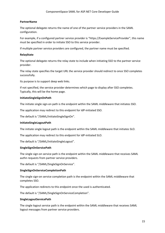#### **PartnerName**

The optional delegate returns the name of one of the partner service providers in the SAML configuration.

For example, if a configured partner service provider is "https://ExampleServiceProvider", this name must be specified in order to initiate SSO to this service provider.

If multiple partner service providers are configured, the partner name must be specified.

#### **RelayState**

The optional delegate returns the relay state to include when initiating SSO to the partner service provider.

The relay state specifies the target URL the service provider should redirect to once SSO completes successfully.

Its purpose is to support deep web links.

If not specified, the service provider determines which page to display after SSO completes. Typically, this will be the home page.

#### **InitiateSingleSignOnPath**

The initiate single sign-on path is the endpoint within the SAML middleware that initiates SSO.

The application may redirect to this endpoint for IdP-initiated SSO.

The default is "/SAML/InitiateSingleSignOn".

#### **InitiateSingleLogoutPath**

The initiate single logout path is the endpoint within the SAML middleware that initiates SLO.

The application may redirect to this endpoint for IdP-initiated SLO.

The default is "/SAML/InitiateSingleLogout".

#### **SingleSignOnServicePath**

The single sign-on service path is the endpoint within the SAML middleware that receives SAML authn requests from partner service providers.

The default is "/SAML/SingleSignOnService".

#### **SingleSignOnServiceCompletionPath**

The single sign-on service completion path is the endpoint within the SAML middleware that completes SSO.

The application redirects to this endpoint once the used is authenticated.

The default is "/SAML/SingleSignOnServiceCompletion".

#### **SingleLogoutServicePath**

The single logout service path is the endpoint within the SAML middleware that receives SAML logout messages from partner service providers.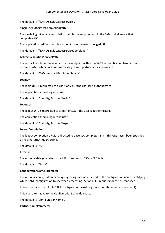The default is "/SAML/SingleLogoutService".

#### **SingleLogoutServiceCompletionPath**

The single logout service completion path is the endpoint within the SAML middleware that completes SLO.

The application redirects to this endpoint once the used is logged off.

The default is "/SAML/SingleLogoutServiceCompletion".

#### **ArtifactResolutionServicePath**

The artifact resolution service path is the endpoint within the SAML authentication handler that receives SAML artifact resolutions messages from partner service providers.

The default is "/SAML/ArtifactResolutionService".

#### **LoginUrl**

The login URL is redirected to as part of SSO if the user isn't authenticated.

The application should login the user.

The default is "/Identity/Account/Login".

#### **LogoutUrl**

The logout URL is redirected to as part of SLO if the user is authenticated.

The application should logout the user.

The default is "/Identity/Account/Logout".

#### **LogoutCompletionUrl**

The logout completion URL is redirected to once SLO completes and if this URL hasn't been specified using a ReturnUrl query string.

The default is "/".

#### **ErrorUrl**

The optional delegate returns the URL to redirect if SSO or SLO fails.

The default is "/Error".

#### **ConfigurationNameParameter**

The optional configuration name query string parameter specifies the configuration name identifying which SAML configuration to use when processing SSO and SLO requests for the current user.

It's only required if multiple SAML configurations exist (e.g., in a multi-tenanted environment).

This is an alternative to the ConfigurationName delegate.

The default is "ConfigurationName".

#### **PartnerNameParameter**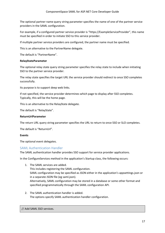The optional partner name query string parameter specifies the name of one of the partner service providers in the SAML configuration.

For example, if a configured partner service provider is "https://ExampleServiceProvider", this name must be specified in order to initiate SSO to this service provider.

If multiple partner service providers are configured, the partner name must be specified.

This is an alternative to the PartnerName delegate.

The default is "PartnerName".

#### **RelayStateParameter**

The optional relay state query string parameter specifies the relay state to include when initiating SSO to the partner service provider.

The relay state specifies the target URL the service provider should redirect to once SSO completes successfully.

Its purpose is to support deep web links.

If not specified, the service provider determines which page to display after SSO completes. Typically, this will be the home page.

This is an alternative to the RelayState delegate.

The default is "RelayState".

#### **ReturnUrlParameter**

The return URL query string parameter specifies the URL to return to once SSO or SLO completes.

The default is "ReturnUrl".

#### **Events**

The optional event delegates.

# <span id="page-20-0"></span>SAML Authentication Handler

The SAML authentication handler provides SSO support for service provider applications.

In the ConfigureServices method in the application's Startup class, the following occurs:

- 1. The SAML services are added. This includes registering the SAML configuration. SAML configuration may be specified as JSON either in the application's appsettings.json or in a separate JSON file (eg saml.json). Alternatively, SAML configuration may be stored in a database or some other format and specified programmatically through the SAML configuration API.
- 2. The SAML authentication handler is added. The options specify SAML authentication handler configuration.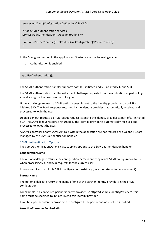services.AddSaml(Configuration.GetSection("SAML"));

```
// Add SAML authentication services.
services.AddAuthentication().AddSaml(options =>
{
   options.PartnerName = (httpContext) => Configuration["PartnerName"];
});
```
In the Configure method in the application's Startup class, the following occurs:

1. Authentication is enabled.

app.UseAuthentication();

The SAML authentication handler supports both IdP-initiated and SP-initiated SSO and SLO.

The SAML authentication handler will accept challenge requests from the application as part of login as well as sign out requests as part of logout.

Upon a challenge request, a SAML authn request is sent to the identity provider as part of SPinitiated SSO. The SAML response returned by the identity provider is automatically received and processed to login the user.

Upon a sign out request, a SAML logout request is sent to the identity provider as part of SP-initiated SLO. The SAML logout response returned by the identity provider is automatically received and processed to logout the user.

A SAML controller or any SAML API calls within the application are not required as SSO and SLO are managed by the SAML authentication handler.

# <span id="page-21-0"></span>SAML Authentication Options

The SamlAuthenticationOptions class supplies options to the SAML authentication handler.

#### **ConfigurationName**

The optional delegate returns the configuration name identifying which SAML configuration to use when processing SSO and SLO requests for the current user.

It's only required if multiple SAML configurations exist (e.g., in a multi-tenanted environment).

#### **PartnerName**

The optional delegate returns the name of one of the partner identity providers in the SAML configuration.

For example, if a configured partner identity provider is "https://ExampleIdentityProvider", this name must be specified to initiate SSO to this identity provider.

If multiple partner identity providers are configured, the partner name must be specified.

#### **AssertionConsumerServicePath**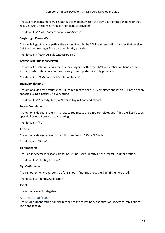The assertion consumer service path is the endpoint within the SAML authentication handler that receives SAML responses from partner identity providers.

The default is "/SAML/AssertionConsumerService".

#### **SingleLogoutServicePath**

The single logout service path is the endpoint within the SAML authentication handler that receives SAML logout messages from partner identity providers.

The default is "/SAML/SingleLogoutService".

#### **ArtifactResolutionServicePath**

The artifact resolution service path is the endpoint within the SAML authentication handler that receives SAML artifact resolutions messages from partner identity providers.

The default is "/SAML/ArtifactResolutionService".

#### **LoginCompletionUrl**

The optional delegate returns the URL to redirect to once SSO completes and if this URL hasn't been specified using a ReturnUrl query string.

The default is "/Identity/Account/ExternalLogin?handler=Callback".

#### **LogoutCompletionUrl**

The optional delegate returns the URL to redirect to once SLO completes and if this URL hasn't been specified using a ReturnUrl query string.

The default is "/".

#### **ErrorUrl**

The optional delegate returns the URL to redirect if SSO or SLO fails.

The default is "/Error".

#### **SignInScheme**

The sign-in scheme is responsible for persisting user's identity after successful authentication.

The default is "Identity.External".

#### **SignOutScheme**

The signout scheme is responsible for signout. If not specified, the SignInScheme is used.

The default is "Identity.Application".

#### **Events**

The optional event delegates.

#### <span id="page-22-0"></span>Authentication Properties

The SAML authentication handler recognizes the following AuthenticationProperties items during login and logout.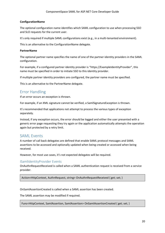## **ConfigurationName**

The optional configuration name identifies which SAML configuration to use when processing SSO and SLO requests for the current user.

It's only required if multiple SAML configurations exist (e.g., in a multi-tenanted environment).

This is an alternative to the ConfigurationName delegate.

#### **PartnerName**

The optional partner name specifies the name of one of the partner identity providers in the SAML configuration.

For example, if a configured partner identity provider is "https://ExampleIdentityProvider", this name must be specified in order to initiate SSO to this identity provider.

If multiple partner identity providers are configured, the partner name must be specified.

This is an alternative to the PartnerName delegate.

# <span id="page-23-0"></span>Error Handling

If an error occurs an exception is thrown.

For example, if an XML signature cannot be verified, a SamlSignatureException is thrown.

It's recommended that applications not attempt to process the various types of exception separately.

Instead, if any exception occurs, the error should be logged and either the user presented with a generic error page requesting they try again or the application automatically attempts the operation again but protected by a retry limit.

# <span id="page-23-1"></span>SAML Events

A number of call back delegates are defined that enable SAML protocol messages and SAML assertions to be accessed and optionally updated when being created or accessed when being received.

However, for most use cases, it's not expected delegates will be required.

# <span id="page-23-2"></span>ISamlIdentityProvider Events

OnAuthnRequestReceived is called when a SAML authentication request is received from a service provider.

Action<HttpContext, AuthnRequest, string> OnAuthnRequestReceived { get; set; }

OnSamlAssertionCreated is called when a SAML assertion has been created.

The SAML assertion may be modified if required.

Func<HttpContext, SamlAssertion, SamlAssertion> OnSamlAssertionCreated { get; set; }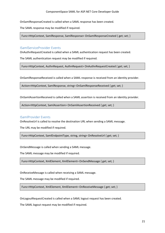OnSamlResponseCreated is called when a SAML response has been created.

The SAML response may be modified if required.

Func<HttpContext, SamlResponse, SamlResponse> OnSamlResponseCreated { get; set; }

# <span id="page-24-0"></span>ISamlServiceProvider Events

OnAuthnRequestCreated is called when a SAML authentication request has been created.

The SAML authentication request may be modified if required.

Func<HttpContext, AuthnRequest, AuthnRequest> OnAuthnRequestCreated { get; set; }

OnSamlResponseReceived is called when a SAML response is received from an identity provider.

Action<HttpContext, SamlResponse, string> OnSamlResponseReceived { get; set; }

OnSamlAssertionReceived is called when a SAML assertion is received from an identity provider.

Action<HttpContext, SamlAssertion> OnSamlAssertionReceived { get; set; }

# <span id="page-24-1"></span>ISamlProvider Events

OnResolveUrl is called to resolve the destination URL when sending a SAML message.

The URL may be modified if required.

Func<HttpContext, SamlEndpointType, string, string> OnResolveUrl { get; set; }

OnSendMessage is called when sending a SAML message.

The SAML message may be modified if required.

Func<HttpContext, XmlElement, XmlElement> OnSendMessage { get; set; }

OnReceiveMessage is called when receiving a SAML message.

The SAML message may be modified if required.

Func<HttpContext, XmlElement, XmlElement> OnReceiveMessage { get; set; }

OnLogoutRequestCreated is called when a SAML logout request has been created.

The SAML logout request may be modified if required.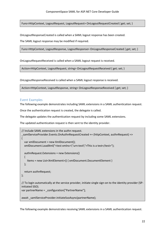Func<HttpContext, LogoutRequest, LogoutRequest> OnLogoutRequestCreated { get; set; }

OnLogoutResponseCreated is called when a SAML logout response has been created.

The SAML logout response may be modified if required.

Func<HttpContext, LogoutResponse, LogoutResponse> OnLogoutResponseCreated { get; set; }

OnLogoutRequestReceived is called when a SAML logout request is received.

Action<HttpContext, LogoutRequest, string> OnLogoutRequestReceived { get; set; }

OnLogoutResponseReceived is called when a SAML logout response is received.

Action<HttpContext, LogoutResponse, string> OnLogoutResponseReceived { get; set; }

#### <span id="page-25-0"></span>Event Examples

The following example demonstrates including SAML extensions in a SAML authentication request.

Once the authentication request is created, the delegate is called.

The delegate updates the authentication request by including some SAML extensions.

The updated authentication request is then sent to the identity provider.

```
// Include SAML extensions in the authn request.
_samlServiceProvider.Events.OnAuthnRequestCreated += (httpContext, authnRequest) =>
{
   var xmlDocument = new XmlDocument();
   xmlDocument.LoadXml("<test xmlns=\"urn:test\">This is a test</test>");
   authnRequest.Extensions = new Extensions()
   {
     Items = new List<XmlElement>() { xmlDocument.DocumentElement }
   };
  return authnRequest:
};
// To login automatically at the service provider, initiate single sign-on to the identity provider (SP-
initiated SSO). 
var partnerName = configuration["PartnerName"];
await samlServiceProvider.InitiateSsoAsync(partnerName);
```
The following example demonstrates receiving SAML extensions in a SAML authentication request.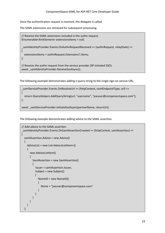Once the authentication request is received, the delegate is called.

The SAML extensions are retrieved for subsequent processing.

```
// Receive the SAML extensions included in the authn request.
IEnumerable<XmlElement> extensionsItems = null;
_samlIdentityProvider.Events.OnAuthnRequestReceived += (authnRequest, relayState) =>
{
   extensionsItems = authnRequest.Extensions?.Items;
};
// Receive the authn request from the service provider (SP-initiated SSO).
await samlIdentityProvider.ReceiveSsoAsync();
```
The following example demonstrates adding a query string to the single sign-on service URL.

```
_samlServiceProvider.Events.OnResolveUrl += (httpContext, samlEndpointType, url) =>
{
   return QueryHelpers.AddQueryString(url, "username", "joeuser@componentspace.com");
};
await samlServiceProvider.InitiateSsoAsync(partnerName, returnUrl);
```
The following example demonstrates adding advice to the SAML assertion.

```
// Add advice to the SAML assertion.
_samlIdentityProvider.Events.OnSamlAssertionCreated += (httpContext, samlAssertion) =>
{
   samlAssertion.Advice = new Advice()
   {
     AdviceList = new List<AdviceListItem>()
     {
        new AdviceListItem()
\overline{\phantom{a}} SamlAssertion = new SamlAssertion()
\left\{ \begin{array}{cc} 0 & 0 \\ 0 & 0 \end{array} \right\} Issuer = samlAssertion.Issuer,
            Subject = new Subject()
 {
              NameID = new NameID()
\{ Name = "joeuser@componentspace.com"
 }
 }
 }
       }
     }
   };
```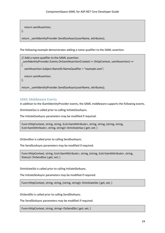```
 return samlAssertion;
};
return samlIdentityProvider.SendSsoAsync(userName, attributes);
```
The following example demonstrates adding a name qualifier to the SAML assertion.

```
// Add a name qualifier to the SAML assertion.
_samlIdentityProvider.Events.OnSamlAssertionCreated += (httpContext, samlAssertion) =>
{
  samlAssertion.Subject.NameID.NameQualifier = "example.com";
   return samlAssertion;
};
return samlIdentityProvider.SendSsoAsync(userName, attributes);
```
# <span id="page-27-0"></span>SAML Middleware Events

In addition to the ISamlIdentityProvider events, the SAML middleware supports the following events.

OnInitiateSso is called prior to calling InitiateSsoAsync.

The InitiateSsoAsync parameters may be modified if required.

```
Func<HttpContext, string, string, IList<SamlAttribute>, string, string, (string, string, 
IList<SamlAttribute>, string, string)> OnInitiateSso { get; set; }
```
OnSendSso is called prior to calling SendSsoAsync.

The SendSsoAsync parameters may be modified if required.

Func<HttpContext, string, IList<SamlAttribute>, string, (string, IList<SamlAttribute>, string, Status)> OnSendSso { get; set; }

OnInitiateSlo is called prior to calling InitiateSloAsync.

The InitiateSloAsync parameters may be modified if required.

Func<HttpContext, string, string, (string, string)> OnInitiateSlo { get; set; }

OnSendSlo is called prior to calling SendSloAsync.

The SendSloAsync parameters may be modified if required.

Func<HttpContext, string, string> OnSendSlo { get; set; }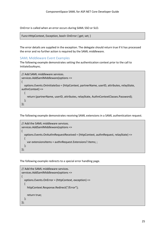OnError is called when an error occurs during SAML SSO or SLO.

Func<HttpContext, Exception, bool> OnError { get; set; }

The error details are supplied in the exception. The delegate should return true if it has processed the error and no further action is required by the SAML middleware.

## <span id="page-28-0"></span>SAML Middleware Event Examples

The following example demonstrates setting the authentication context prior to the call to InitiateSsoAsync.

```
// Add SAML middleware services.
services.AddSamlMiddleware(options =>
{
   options.Events.OnInitiateSso = (httpContext, partnerName, userID, attributes, relayState, 
authnContext) =>
\{ return (partnerName, userID, attributes, relayState, AuthnContextClasses.Password);
   };
});
```
The following example demonstrates receiving SAML extensions in a SAML authentication request.

```
// Add the SAML middleware services.
services.AddSamlMiddleware(options =>
{
   options.Events.OnAuthnRequestReceived = (httpContext, authnRequest, relayState) =>
   {
     var extensionsItems = authnRequest.Extensions?.Items; ;
   };
});
```
The following example redirects to a special error handling page.

```
// Add the SAML middleware services.
services.AddSamlMiddleware(options =>
{
   options.Events.OnError = (httpContext, exception) =>
\{ httpContext.Response.Redirect("/Error");
     return true;
   };
});
```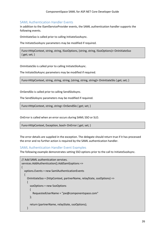# <span id="page-29-0"></span>SAML Authentication Handler Events

In addition to the ISamlServiceProvider events, the SAML authentication handler supports the following events.

OnInitiateSso is called prior to calling InitiateSsoAsync.

The InitiateSsoAsync parameters may be modified if required.

Func<HttpContext, string, string, ISsoOptions, (string, string, ISsoOptions)> OnInitiateSso { get; set; }

OnInitiateSlo is called prior to calling InitiateSloAsync.

The InitiateSloAsync parameters may be modified if required.

Func<HttpContext, string, string, string, (string, string, string)> OnInitiateSlo { get; set; }

OnSendSlo is called prior to calling SendSloAsync.

The SendSloAsync parameters may be modified if required.

Func<HttpContext, string, string> OnSendSlo { get; set; }

OnError is called when an error occurs during SAML SSO or SLO.

Func<HttpContext, Exception, bool> OnError { get; set; }

The error details are supplied in the exception. The delegate should return true if it has processed the error and no further action is required by the SAML authentication handler.

# <span id="page-29-1"></span>SAML Authentication Handler Event Examples

The following example demonstrates setting SSO options prior to the call to InitiateSsoAsync.

```
// Add SAML authentication services.
services.AddAuthentication().AddSaml(options =>
{
   options.Events = new SamlAuthenticationEvents
   {
     OnInitiateSso = (httpContext, partnerName, relayState, ssoOptions) =>
    {
       ssoOptions = new SsoOptions
\overline{\phantom{a}} RequestedUserName = "joe@componentspace.com"
        };
        return (partnerName, relayState, ssoOptions);
     }
```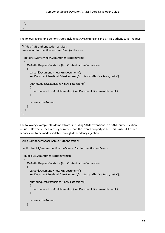| $\}$ |  |  |
|------|--|--|

The following example demonstrates including SAML extensions in a SAML authentication request.

```
// Add SAML authentication services.
services.AddAuthentication().AddSaml(options =>
{
   options.Events = new SamlAuthenticationEvents
   {
     OnAuthnRequestCreated = (httpContext, authnRequest) =>
     {
       var xmlDocument = new XmlDocument();
       xmlDocument.LoadXml("<test xmlns=\"urn:test\">This is a test</test>");
       authnRequest.Extensions = new Extensions()
\overline{\phantom{a}} Items = new List<XmlElement>() { xmlDocument.DocumentElement }
       };
       return authnRequest;
     }
   };
});
```
The following example also demonstrates including SAML extensions in a SAML authentication request. However, the EventsType rather than the Events property is set. This is useful if other services are to be made available through dependency injection.

```
using ComponentSpace.Saml2.Authentication;
public class MySamlAuthenticationEvents : SamlAuthenticationEvents
{
   public MySamlAuthenticationEvents()
\{ OnAuthnRequestCreated = (httpContext, authnRequest) =>
     {
       var xmlDocument = new XmlDocument();
       xmlDocument.LoadXml("<test xmlns=\"urn:test\">This is a test</test>");
       authnRequest.Extensions = new Extensions()
       {
         Items = new List<XmlElement>() { xmlDocument.DocumentElement }
       };
       return authnRequest;
     }
   }
```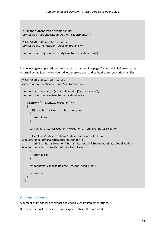```
}
// Add the authentication events handler.
services.AddTransient<MySamlAuthenticationEvents>();
// Add SAML authentication services.
services.AddAuthentication().AddSaml(options =>
{
   options.EventsType = typeof(MySamlAuthenticationEvents);
});
```
The following example redirects to a special error handling page if an AuthnFailed error status is returned by the identity provider. All other errors are handled by the authentication handler.

```
// Add SAML authentication services.
services.AddAuthentication().AddSaml(options =>
{
   options.PartnerName = () => Configuration["PartnerName"];
   options.Events = new SamlAuthenticationEvents
  {
     OnError = (httpContext, exception) =>
     {
        if (!(exception is SamlErrorStatusException))
        {
          return false;
        }
        var samlErrorStatusException = exception as SamlErrorStatusException;
        if (samlErrorStatusException?.Status?.StatusCode?.Code != 
SamlConstants.PrimaryStatusCodes.Responder ||
          samlErrorStatusException?.Status?.StatusCode?.SubordinateStatusCode?.Code != 
SamlConstants.SecondaryStatusCodes.AuthnFailed)
\overline{\phantom{a}} return false;
        }
        httpContext.Response.Redirect("/AuthnFailedError");
        return true;
     }
   };
});
```
# <span id="page-31-0"></span>Customizations

A number of interfaces are exposed to enable custom implementations.

However, for most use cases, it's not expected this will be required.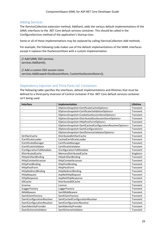# <span id="page-32-0"></span>Adding Services

The IServiceCollection extension method, AddSaml, adds the various default implementations of the SAML interfaces to the .NET Core default services container. This should be called in the ConfigureServices method of the application's Startup class.

Some or all of these implementations may be replaced by calling IServiceCollection Add methods.

For example, the following code makes use of the default implementations of the SAML interfaces except it replaces the ISsoSessionStore with a custom implementation.

// Add SAML SSO services. services.AddSaml();

// Add a custom SSO session store. services.AddScoped<ISsoSessionStore, CustomSsoSessionStore>();

# <span id="page-32-1"></span>Dependency Injection and Third-Party IoC Containers

The following table specifies the interfaces, default implementations and lifetimes that must be defined to a third-party Inversion of Control container if the .NET Core default services container isn't being used.

| Interface                         | Implementation                                                                                     | Lifetime  |
|-----------------------------------|----------------------------------------------------------------------------------------------------|-----------|
|                                   | IOptionsSnapshot <certificatecacheoptions></certificatecacheoptions>                               | Transient |
|                                   | IOptionsSnapshot <certificatevalidationoptions></certificatevalidationoptions>                     | Transient |
|                                   | IOptionsSnapshot <cookiessosessionstoreoptions></cookiessosessionstoreoptions>                     | Transient |
|                                   | IOptionsSnapshot <distributedssosessionstoreoptions></distributedssosessionstoreoptions>           | Transient |
|                                   | IOptionsSnapshot <httppostformoptions></httppostformoptions>                                       | Transient |
|                                   | IOptionsSnapshot <samicachedconfigurationresolveroptions></samicachedconfigurationresolveroptions> | Transient |
|                                   | IOptionsSnapshot <samlconfigurations></samlconfigurations>                                         | Transient |
|                                   | IOptionsSnapshot <samlschemavalidatoroptions></samlschemavalidatoroptions>                         | Transient |
| <b>IArtifactCache</b>             | DistributedArtifactCache                                                                           | Transient |
| <b>ICertificateLoader</b>         | CachedCertificateLoader                                                                            | Transient |
| ICertificateManager               | CertificateManager                                                                                 | Transient |
| ICertificateValidator             | CertificateValidator                                                                               | Transient |
| IConfigurationToMetadata          | IConfigurationToMetadata                                                                           | Transient |
| <b>IDistributedCache</b>          | MemoryDistributedCache                                                                             | Singleton |
| <b>IHttpArtifactBinding</b>       | <b>HttpArtifactBinding</b>                                                                         | Transient |
| <b>IHttpContextAccessor</b>       | HttpContextAccessor                                                                                | Transient |
| <b>IHttpPostBinding</b>           | HttpPostBinding                                                                                    | Transient |
| <b>IHttpPostForm</b>              | HttpPostForm                                                                                       | Transient |
| <b>IHttpRedirectBinding</b>       | <b>HttpRedirectBinding</b>                                                                         | Transient |
| <b>IHttpRequest</b>               | AspNetHttpRequest                                                                                  | Transient |
| IHttpResponse                     | AspNetHttpResponse                                                                                 | Transient |
| <b>IIDCache</b>                   | DistributedIDCache                                                                                 | Transient |
| ILicense                          | License                                                                                            | Transient |
| <b>ILoggerFactory</b>             | LoggerFactory                                                                                      | Transient |
| <b>IMiddleware</b>                | SamlMiddleware                                                                                     | Transient |
| <b>ISamIClaimFactory</b>          | SamlClaimFactory                                                                                   | Transient |
| ISamlConfigurationResolver        | SamlCachedConfigurationResolver                                                                    | Transient |
| <b>ISamIConfigurationResolver</b> | SamlConfigurationResolver                                                                          | Transient |
| ISamlIdentityProvider             | SamlIdentityProvider                                                                               | Transient |
| ISamISchemaValidator              | SamlSchemaValidator                                                                                | Transient |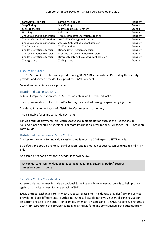#### ComponentSpace SAML for ASP.NET Core Developer Guide

| <b>ISamIServiceProvider</b> | SamlServiceProvider                   | Transient |
|-----------------------------|---------------------------------------|-----------|
| <b>ISoapBinding</b>         | SoapBinding                           | Transient |
| <b>ISsoSessionStore</b>     | DistributedSsoSessionStore            | Scoped    |
| <b>IUrlUtility</b>          | UrlUtility                            | Transient |
| IXmlDataEncryptionExtension | TripleDesXmlDataEncryptionExtension   | Transient |
| IXmlDataEncryptionExtension | AesXmlDataEncryptionExtension         | Transient |
| IXmlDataEncryptionExtension | AesGcmXmlDataEncryptionExtension      | Transient |
| <b>IXmlEncryption</b>       | XmlEncryption                         | Transient |
| IXmlKeyEncryptionExtension  | RsaXmlKeyEncryptionExtension          | Transient |
| IXmlKeyEncryptionExtension  | RsaOaepXmlKeyEncryptionExtension      | Transient |
| IXmlKeyEncryptionExtension  | RsaOaepMgf1pXmlKeyEncryptionExtension | Transient |
| <b>IXmlSignature</b>        | XmlSignature                          | Transient |

#### <span id="page-33-0"></span>ISsoSessionStore

The ISsoSessionStore interface supports storing SAML SSO session data. It's used by the identity provider and service provider to support the SAML protocol.

Several implementations are provided.

#### <span id="page-33-1"></span>Distributed Cache Session Store

A default implementation stores SSO session data in an IDistributedCache.

The implementation of IDistributedCache may be specified through dependency injection.

The default implementation of IDistributedCache caches to memory.

This is suitable for single server deployments.

For web farm deployments, an IDistributedCache implementation such as the RedisCache or SqlServerCache should be specified. For more information, refer to the SAML for ASP.NET Core Web Farm Guide.

#### <span id="page-33-2"></span>Distributed Cache Session Store Cookie

The key to the cache for individual session data is kept in a SAML-specific HTTP cookie.

By default, the cookie's name is "saml-session" and it's marked as secure, samesite=none and HTTP only.

An example set-cookie response header is shown below.

set-cookie: saml-session=f0225c85-20c5-4535-a289-4b173ff23e4a; path=/; secure; samesite=none; httponly

#### <span id="page-33-3"></span>SameSite Cookie Considerations

A set-cookie header may include an optional SameSite attribute whose purpose is to help protect against cross-site request forgery attacks (CSRF).

SAML protocol exchanges are, in most use cases, cross-site. The identity provider (IdP) and service provider (SP) are different sites. Furthermore, these flows do not involve users clicking navigation links from one site to the other. For example, when an IdP sends an SP a SAML response, it returns a 200 HTTP response to the browser containing an HTML form and some JavaScript to automatically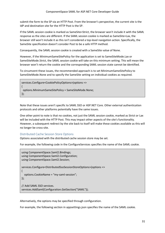submit the form to the SP via an HTTP Post. From the browser's perspective, the current site is the IdP and destination site for the HTTP Post is the SP.

If the SAML session cookie is marked as SameSite=Strict, the browser won't include it with the SAML response as the sites are different. If the SAML session cookie is marked as SameSite=Lax, the browser still won't include it as this isn't considered a top-level navigation action. Specifically, the SameSite specification doesn't consider Post to be a safe HTTP method.

Consequently, the SAML session cookie is created with a SameSite value of None.

However, if the MinimumSameSitePolicy for the application is set to SameSiteMode.Lax or SameSiteMode.Strict, the SAML session cookie will take on this minimum setting. This will mean the browser won't return the cookie and the corresponding SAML session state cannot be identified.

To circumvent these issues, the recommended approach is to set MinimumSameSitePolicy to SameSiteMode.None and to specify the SameSite setting on individual cookies as required.

```
services.Configure<CookiePolicyOptions>(options =>
{
 options.MinimumSameSitePolicy = SameSiteMode.None;
});
```
Note that these issues aren't specific to SAML SSO or ASP.NET Core. Other external authentication protocols and other platforms potentially have the same issues.

One other point to note is that no cookies, not just the SAML session cookie, marked as Strict or Lax will be included with the HTTP Post. This may impact other aspects of the site's functionality. However, a subsequent redirect by the site back to itself will make these cookies available as this will no longer be cross-site.

# <span id="page-34-0"></span>Distributed Cache Session Store Options

Options associated with the distributed cache session store may be set.

For example, the following code in the ConfigureServices specifies the name of the SAML cookie.

```
using ComponentSpace.Saml2.Bindings;
using ComponentSpace.Saml2.Configuration;
using ComponentSpace.Saml2.Session;
services.Configure<DistributedSsoSessionStoreOptions>(options =>
\{ options.CookieName = "my-saml-session";
});
// Add SAML SSO services.
services.AddSaml(Configuration.GetSection("SAML"));
```
Alternatively, the options may be specified through configuration.

For example, the following section in appsettings.json specifies the name of the SAML cookie.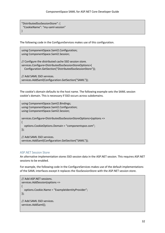```
"DistributedSsoSessionStore": {
  "CookieName": "my-saml-session"
}
```
The following code in the ConfigureServices makes use of this configuration.

using ComponentSpace.Saml2.Configuration; using ComponentSpace.Saml2.Session;

// Configure the distributed cache SSO session store. services.Configure<DistributedSsoSessionStoreOptions>( Configuration.GetSection("DistributedSsoSessionStore"));

// Add SAML SSO services. services.AddSaml(Configuration.GetSection("SAML"));

The cookie's domain defaults to the host name. The following example sets the SAML session cookie's domain. This is necessary if SSO occurs across subdomains.

using ComponentSpace.Saml2.Bindings; using ComponentSpace.Saml2.Configuration; using ComponentSpace.Saml2.Session; services.Configure<DistributedSsoSessionStoreOptions>(options => { options.CookieOptions.Domain = "componentspce.com"; }); // Add SAML SSO services. services.AddSaml(Configuration.GetSection("SAML"));

# <span id="page-35-0"></span>ASP.NET Session Store

An alternative implementation stores SSO session data in the ASP.NET session. This requires ASP.NET sessions to be enabled.

For example, the following code in the ConfigureServices makes use of the default implementations of the SAML interfaces except it replaces the ISsoSessionStore with the ASP.NET session store.

```
// Add ASP.NET sessions.
services.AddSession(options =>
{
  options.Cookie.Name = "ExampleIdentityProvider";
});
// Add SAML SSO services.
services.AddSaml();
```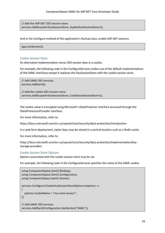// Add the ASP.NET SSO session store. services.AddScoped<ISsoSessionStore, AspNetSsoSessionStore>();

And in the Configure method of the application's Startup class, enable ASP.NET sessions.

app.UseSession();

#### <span id="page-36-0"></span>Cookie Session Store

An alternative implementation stores SSO session data in a cookie.

For example, the following code in the ConfigureServices makes use of the default implementations of the SAML interfaces except it replaces the ISsoSessionStore with the cookie session store.

// Add SAML SSO services. services.AddSaml();

// Add the cookie SSO session store. services.AddScoped<ISsoSessionStore, CookieSsoSessionStore>();

The cookie value is encrypted using Microsoft's IDataProtector interface accessed through the IDataProtectionProvider interface.

For more information, refer to:

https://docs.microsoft.com/en-us/aspnet/core/security/data-protection/introduction

In a web farm deployment, cipher keys may be stored in a central location such as a Redis cache.

For more information, refer to:

https://docs.microsoft.com/en-us/aspnet/core/security/data-protection/implementation/keystorage-providers

#### <span id="page-36-1"></span>Cookie Session Store Options

Options associated with the cookie session store may be set.

For example, the following code in the ConfigureServices specifies the name of the SAML cookie.

```
using ComponentSpace.Saml2.Bindings;
using ComponentSpace.Saml2.Configuration;
using ComponentSpace.Saml2.Session;
services.Configure<CookieSsoSessionStoreOptions>(options =>
{
  options.CookieName = "my-saml-session";
});
// Add SAML SSO services.
services.AddSaml(Configuration.GetSection("SAML"));
```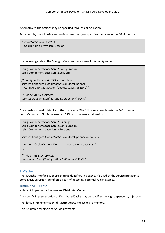Alternatively, the options may be specified through configuration.

For example, the following section in appsettings.json specifies the name of the SAML cookie.

```
"CookieSsoSessionStore": {
  "CookieName": "my-saml-session"
}
```
The following code in the ConfigureServices makes use of this configuration.

using ComponentSpace.Saml2.Configuration; using ComponentSpace.Saml2.Session; // Configure the cookie SSO session store. services.Configure<CookieSsoSessionStoreOptions>( Configuration.GetSection("CookieSsoSessionStore")); // Add SAML SSO services.

services.AddSaml(Configuration.GetSection("SAML"));

The cookie's domain defaults to the host name. The following example sets the SAML session cookie's domain. This is necessary if SSO occurs across subdomains.

```
using ComponentSpace.Saml2.Bindings;
using ComponentSpace.Saml2.Configuration;
using ComponentSpace.Saml2.Session;
services.Configure<CookieSsoSessionStoreOptions>(options =>
{
   options.CookieOptions.Domain = "componentspace.com";
});
// Add SAML SSO services.
services.AddSaml(Configuration.GetSection("SAML"));
```
# <span id="page-37-0"></span>IIDCache

The IIDCache interface supports storing identifiers in a cache. It's used by the service provider to store SAML assertion identifiers as part of detecting potential replay attacks.

# <span id="page-37-1"></span>Distributed ID Cache

A default implementation uses an IDistributedCache.

The specific implementation of IDistributedCache may be specified through dependency injection.

The default implementation of IDistributedCache caches to memory.

This is suitable for single server deployments.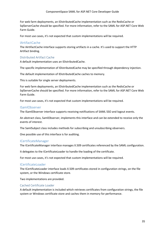For web farm deployments, an IDistributedCache implementation such as the RedisCache or SqlServerCache should be specified. For more information, refer to the SAML for ASP.NET Core Web Farm Guide.

For most use cases, it's not expected that custom implementations will be required.

# <span id="page-38-0"></span>IArtifactCache

The IArtifactCache interface supports storing artifacts in a cache. It's used to support the HTTP Artifact binding.

# <span id="page-38-1"></span>Distributed Artifact Cache

A default implementation uses an IDistributedCache.

The specific implementation of IDistributedCache may be specified through dependency injection.

The default implementation of IDistributedCache caches to memory.

This is suitable for single server deployments.

For web farm deployments, an IDistributedCache implementation such as the RedisCache or SqlServerCache should be specified. For more information, refer to the SAML for ASP.NET Core Web Farm Guide.

For most use cases, it's not expected that custom implementations will be required.

## <span id="page-38-2"></span>ISamlObserver

The ISamlObserver interface supports receiving notifications of SAML SSO and logout events.

An abstract class, SamlObserver, implements this interface and can be extended to receive only the events of interest.

The SamlSubject class includes methods for subscribing and unsubscribing observers.

One possible use of this interface is for auditing.

# <span id="page-38-3"></span>ICertificateManager

The ICertificateManager interface manages X.509 certificates referenced by the SAML configuration.

It delegates to the ICertificateLoader to handle the loading of the certificate.

For most use cases, it's not expected that custom implementations will be required.

# <span id="page-38-4"></span>ICertificateLoader

The ICertificateLoader interface loads X.509 certificates stored in configuration strings, on the file system, or the Windows certificate store.

Two implementations are provided.

#### <span id="page-38-5"></span>Cached Certificate Loader

A default implementation is included which retrieves certificates from configuration strings, the file system or Windows certificate store and caches them in memory for performance.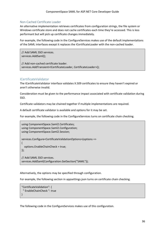# <span id="page-39-0"></span>Non-Cached Certificate Loader

An alternative implementation retrieves certificates from configuration strings, the file system or Windows certificate store and does not cache certificates each time they're accessed. This is less performant but will pick up certificate changes immediately.

For example, the following code in the ConfigureServices makes use of the default implementations of the SAML interfaces except it replaces the ICertificateLoader with the non-cached loader.

// Add SAML SSO services. services.AddSaml();

// Add non-cached certificate loader. services.AddTransient<ICertificateLoader, CertificateLoader>();

# <span id="page-39-1"></span>ICertificateValidator

The ICertificateValidator interface validates X.509 certificates to ensure they haven't expired or aren't otherwise invalid.

Consideration must be given to the performance impact associated with certificate validation during SSO.

Certificate validators may be chained together if multiple implementations are required.

A default certificate validator is available and options for it may be set.

For example, the following code in the ConfigureServices turns on certificate chain checking.

```
using ComponentSpace.Saml2.Certificates;
using ComponentSpace.Saml2.Configuration;
using ComponentSpace.Saml2.Session;
services.Configure<CertificateValidationOptions>(options =>
\{ options.EnableChainCheck = true;
});
// Add SAML SSO services.
services.AddSaml(Configuration.GetSection("SAML"));
```
Alternatively, the options may be specified through configuration.

For example, the following section in appsettings.json turns on certificate chain checking.

```
"CertificateValidation": {
  " EnableChainCheck ": true
}
```
The following code in the ConfigureServices makes use of this configuration.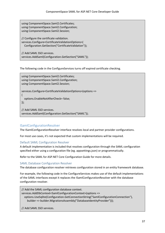using ComponentSpace.Saml2.Certificates; using ComponentSpace.Saml2.Configuration; using ComponentSpace.Saml2.Session;

// Configure the certificate validation. services.Configure<CertificateValidationOptions>( Configuration.GetSection("CertificateValidation"));

// Add SAML SSO services. services.AddSaml(Configuration.GetSection("SAML"));

The following code in the ConfigureServices turns off expired certificate checking.

using ComponentSpace.Saml2.Certificates; using ComponentSpace.Saml2.Configuration; using ComponentSpace.Saml2.Session;

services.Configure<CertificateValidationOptions>(options => { options.EnableNotAfterCheck= false;

});

// Add SAML SSO services. services.AddSaml(Configuration.GetSection("SAML"));

# <span id="page-40-0"></span>ISamlConfigurationResolver

The ISamlConfigurationResolver interface resolves local and partner provider configurations.

For most use cases, it's not expected that custom implementations will be required.

# <span id="page-40-1"></span>Default SAML Configuration Resolver

A default implementation is included that resolves configuration through the SAML configuration specified either using a configuration file (eg. appsettings.json) or programmatically.

Refer to the SAML for ASP.NET Core Configuration Guide for more details.

# <span id="page-40-2"></span>SAML Database Configuration Resolver

The database configuration resolver retrieves configuration stored in an entity framework database.

For example, the following code in the ConfigureServices makes use of the default implementations of the SAML interfaces except it replaces the ISamlConfigurationResolver with the database configuration resolver.

// Add the SAML configuration database context. services.AddDbContext<SamlConfigurationContext>(options => options.UseSqlite(Configuration.GetConnectionString("SamlConfigurationConnection"), builder => builder.MigrationsAssembly("DatabaseIdentityProvider")));

// Add SAML SSO services.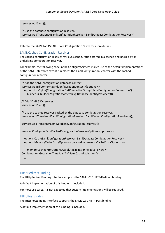services.AddSaml();

// Use the database configuration resolver. services.AddTransient<ISamlConfigurationResolver, SamlDatabaseConfigurationResolver>();

Refer to the SAML for ASP.NET Core Configuration Guide for more details.

# <span id="page-41-0"></span>SAML Cached Configuration Resolver

The cached configuration resolver retrieves configuration stored in a cached and backed by an underlying configuration resolver.

For example, the following code in the ConfigureServices makes use of the default implementations of the SAML interfaces except it replaces the ISamlConfigurationResolver with the cached configuration resolver.

```
// Add the SAML configuration database context.
services.AddDbContext<SamlConfigurationContext>(options =>
   options.UseSqlite(Configuration.GetConnectionString("SamlConfigurationConnection"),
     builder => builder.MigrationsAssembly("DatabaseIdentityProvider")));
// Add SAML SSO services.
services.AddSaml();
// Use the cached resolver backed by the database configuration resolver.
services.AddTransient<ISamlConfigurationResolver, SamlCachedConfigurationResolver>();
services.AddTransient<SamlDatabaseConfigurationResolver>();
services.Configure<SamlCachedConfigurationResolverOptions>(options =>
{
   options.CacheSamlConfigurationResolver<SamlDatabaseConfigurationResolver>();
   options.MemoryCacheEntryOptions = (key, value, memoryCacheEntryOptions) =>
\{ memoryCacheEntryOptions.AbsoluteExpirationRelativeToNow = 
Configuration.GetValue<TimeSpan?>("SamlCacheExpiration");
  };
});
```
# <span id="page-41-1"></span>IHttpRedirectBinding

The IHttpRedirectBinding interface supports the SAML v2.0 HTTP-Redirect binding.

A default implementation of this binding is included.

For most use cases, it's not expected that custom implementations will be required.

# <span id="page-41-2"></span>**IHttpPostBinding**

The IHttpPostBinding interface supports the SAML v2.0 HTTP-Post binding.

A default implementation of this binding is included.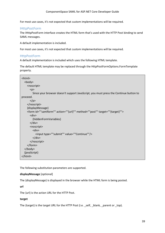#### ComponentSpace SAML for ASP.NET Core Developer Guide

For most use cases, it's not expected that custom implementations will be required.

#### <span id="page-42-0"></span>IHttpPostForm

The IHttpPostForm interface creates the HTML form that's used with the HTTP Post binding to send SAML messages.

A default implementation is included.

For most use cases, it's not expected that custom implementations will be required.

## <span id="page-42-1"></span>HttpPostForm

A default implementation is included which uses the following HTML template.

The default HTML template may be replaced through the HttpPostFormOptions.FormTemplate property.

| <html></html>                                                                                      |
|----------------------------------------------------------------------------------------------------|
| <body></body>                                                                                      |
| <noscript></noscript>                                                                              |
| < p                                                                                                |
| Since your browser doesn't support JavaScript, you must press the Continue button to               |
| proceed.                                                                                           |
| $<$ /p>                                                                                            |
|                                                                                                    |
| {displayMessage}                                                                                   |
| <form action="" id="" method="" post""="" samiform""="" target="" {target}""="" {url}""=""></form> |
| $<$ div $>$                                                                                        |
| {hiddenFormVariables}                                                                              |
| $\langle$ /div                                                                                     |
| <noscript></noscript>                                                                              |
| $<$ div $>$                                                                                        |
| <input continue""="" submit""="" type="" value=""/>                                                |
| $<$ /div>                                                                                          |
|                                                                                                    |
|                                                                                                    |
| $<$ /body>                                                                                         |
| {javaScript}                                                                                       |
| $<$ /html>                                                                                         |

The following substitution parameters are supported.

#### **displayMessage** [optional]

The {displayMessage} is displayed in the browser while the HTML form is being posted.

**url**

The {url} is the action URL for the HTTP Post.

#### **target**

The {target} is the target URL for the HTTP Post (i.e. \_self, \_blank, \_parent or \_top).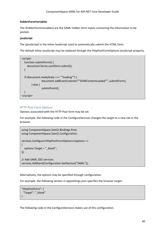#### **hiddenFormVariables**

The {hiddenFormVariables} are the SAML hidden form inputs containing the information to be posted.

## **javaScript**

The {javaScript} is the inline JavaScript used to automatically submit the HTML form.

The default inline JavaScript may be replaced through the HttpPostFormOptions.JavaScript property.

```
<script>
   function submitForm() {
     document.forms.samlform.submit();
   }
   if (document.readyState === ""loading"") {
               document.addEventListener(""DOMContentLoaded"", submitForm);
       } else {
               submitForm();
  }
</script>
```
# <span id="page-43-0"></span>HTTP Post Form Options

Options associated with the HTTP Post form may be set.

For example, the following code in the ConfigureServices changes the target to a new tab in the browser.

```
using ComponentSpace.Saml2.Bindings.Post;
using ComponentSpace.Saml2.Configuration;
services.Configure<HttpPostFormOptions>(options =>
{
   options.Target = "_blank";
});
// Add SAML SSO services.
services.AddSaml(Configuration.GetSection("SAML"));
```
Alternatively, the options may be specified through configuration.

For example, the following section in appsettings.json specifies the browser target.

```
"HttpPostForm": {
  "Target": "_blank"
}
```
The following code in the ConfigureServices makes use of this configuration.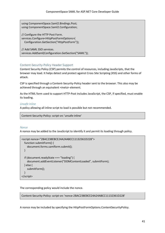using ComponentSpace.Saml2.Bindings.Post; using ComponentSpace.Saml2.Configuration;

// Configure the HTTP Post Form. services.Configure<HttpPostFormOptions>( Configuration.GetSection("HttpPostForm"));

// Add SAML SSO services. services.AddSaml(Configuration.GetSection("SAML"));

# <span id="page-44-0"></span>Content-Security-Policy Header Support

Content Security Policy (CSP) permits the control of resources, including JavaScripts, that the browser may load. It helps detect and protect against Cross Site Scripting (XSS) and other forms of attack.

CSP is specified through a Content-Security-Policy header sent to the browser. This also may be achieved through an equivalent <meta> element.

As the HTML form used to support HTTP-Post includes JavaScript, the CSP, if specified, must enable its loading.

# *Unsafe Inline*

A policy allowing all inline script to load is possible but not recommended.

Content-Security-Policy: script-src 'unsafe-inline'

#### *Nonce*

A nonce may be added to the JavaScript to identify it and permit its loading through policy.

```
<script nonce="2BAC238EBCE24A24ABCC11132361D228">
   function submitForm() {
     document.forms.samlform.submit();
   }
   if (document.readyState === "loading") {
     document.addEventListener("DOMContentLoaded", submitForm);
   } else {
     submitForm();
   }
</script>
```
The corresponding policy would include the nonce.

Content-Security-Policy: script-src 'nonce-2BAC238EBCE24A24ABCC11132361D228'

A nonce may be included by specifying the HttpPostFormOptions.ContentSecurityPolicy.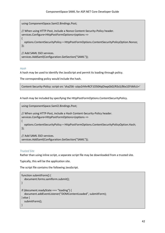using ComponentSpace.Saml2.Bindings.Post;

// When using HTTP-Post, include a Nonce Content-Security-Policy header. services.Configure<HttpPostFormOptions>(options =>

 options.ContentSecurityPolicy = HttpPostFormOptions.ContentSecurityPolicyOption.Nonce; });

// Add SAML SSO services. services.AddSaml(Configuration.GetSection("SAML"));

#### *Hash*

{

A hash may be used to identify the JavaScript and permit its loading through policy.

The corresponding policy would include the hash.

Content-Security-Policy: script-src 'sha256- oJqv2rhhrRCF1O504qOiwpGkD/R3s5/Btx1EFtIkfcU='

A hash may be included by specifying the HttpPostFormOptions.ContentSecurityPolicy.

using ComponentSpace.Saml2.Bindings.Post;

```
// When using HTTP-Post, include a Hash Content-Security-Policy header.
```
services.Configure<HttpPostFormOptions>(options =>

{

 options.ContentSecurityPolicy = HttpPostFormOptions.ContentSecurityPolicyOption.Hash; });

// Add SAML SSO services.

services.AddSaml(Configuration.GetSection("SAML"));

#### *Trusted Site*

Rather than using inline script, a separate script file may be downloaded from a trusted site.

Typically, this will be the application site.

The script file contains the following JavaScript.

```
function submitForm() {
   document.forms.samlform.submit();
}
if (document.readyState === "loading") {
   document.addEventListener("DOMContentLoaded", submitForm);
} else {
   submitForm();
}
```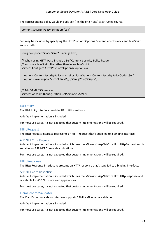#### ComponentSpace SAML for ASP.NET Core Developer Guide

The corresponding policy would include self (i.e. the origin site) as a trusted source.

Content-Security-Policy: script-src 'self'

Self may be included by specifying the HttpPostFormOptions.ContentSecurityPolicy and JavaScript source path.

using ComponentSpace.Saml2.Bindings.Post; // When using HTTP-Post, include a Self Content-Security-Policy header // and use a JavaScript file rather than inline JavaScript. services.Configure<HttpPostFormOptions>(options => { options.ContentSecurityPolicy = HttpPostFormOptions.ContentSecurityPolicyOption.Self; options.JavaScript = "<script src=\"/js/saml.js\"></script>"; }); // Add SAML SSO services. services.AddSaml(Configuration.GetSection("SAML"));

# <span id="page-46-0"></span>IUrlUtility

The IUrlUtility interface provides URL utility methods.

A default implementation is included.

For most use cases, it's not expected that custom implementations will be required.

#### <span id="page-46-1"></span>**IHttpRequest**

The IHttpRequest interface represents an HTTP request that's supplied to a binding interface.

#### <span id="page-46-2"></span>ASP.NET Core Request

A default implementation is included which uses the Microsoft.AspNetCore.Http.HttpRequest and is suitable for ASP.NET Core web applications.

For most use cases, it's not expected that custom implementations will be required.

#### <span id="page-46-3"></span>**IHttpResponse**

The IHttpResponse interface represents an HTTP response that's supplied to a binding interface.

#### <span id="page-46-4"></span>ASP.NET Core Response

A default implementation is included which uses the Microsoft.AspNetCore.Http.HttpResponse and is suitable for ASP.NET Core web applications.

For most use cases, it's not expected that custom implementations will be required.

## <span id="page-46-5"></span>ISamlSchemaValidator

The ISamlSchemaValidator interface supports SAML XML schema validation.

A default implementation is included.

For most use cases, it's not expected that custom implementations will be required.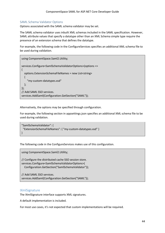## <span id="page-47-0"></span>SAML Schema Validator Options

Options associated with the SAML schema validator may be set.

The SAML schema validator uses inbuilt XML schemas included in the SAML specification. However, SAML attribute values that specify a datatype other than an XML Schema simple type require the presence of an extension schema that defines the datatype.

For example, the following code in the ConfigureServices specifies an additional XML schema file to be used during validation.

```
using ComponentSpace.Saml2.Utility;
services.Configure<SamlSchemaValidatorOptions>(options =>
{
   options.ExtensionSchemaFileNames = new List<string>
\{ "my-custom-datatypes.xsd"
   };
});
// Add SAML SSO services.
services.AddSaml(Configuration.GetSection("SAML"));
```
Alternatively, the options may be specified through configuration.

For example, the following section in appsettings.json specifies an additional XML schema file to be used during validation.

```
"SamlSchemaValidator": {
  "ExtensionSchemaFileNames": { "my-custom-datatypes.xsd" }
}
```
The following code in the ConfigureServices makes use of this configuration.

using ComponentSpace.Saml2.Utility;

// Configure the distributed cache SSO session store. services.Configure<SamlSchemaValidatorOptions>( Configuration.GetSection("SamlSchemaValidator"));

// Add SAML SSO services. services.AddSaml(Configuration.GetSection("SAML"));

#### <span id="page-47-1"></span>**IXmlSignature**

The IXmlSignature interface supports XML signatures.

A default implementation is included.

For most use cases, it's not expected that custom implementations will be required.